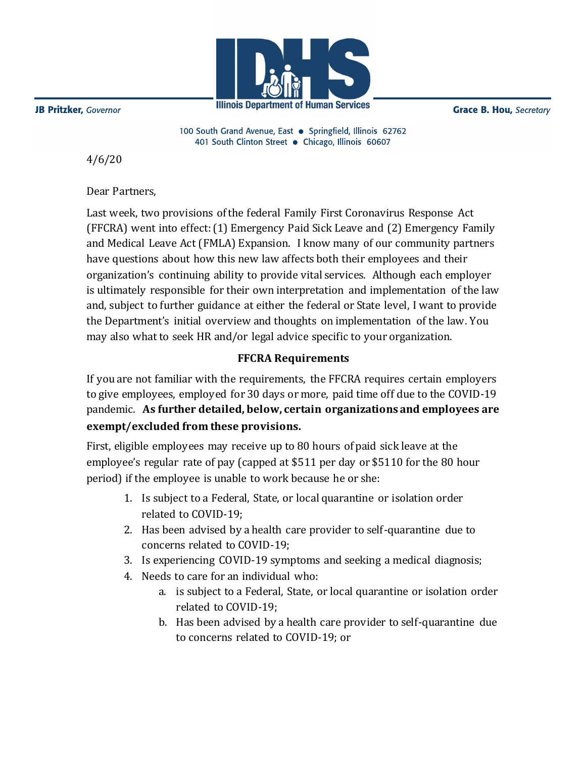

**Illinois Department of Human Services** 

**Grace B. Hou, Secretary** 

100 South Grand Avenue, East . Springfield, Illinois 62762 401 South Clinton Street · Chicago, Illinois 60607

4/6/20

Dear Partners,

Last week, two provisions of the federal Family First Coronavirus Response Act (FFCRA) went into effect: (1) Emergency Paid Sick Leave and (2) Emergency Family and Medical Leave Act (FMLA) Expansion. I know many of our community partners have questions about how this new law affects both their employees and their organization's continuing ability to provide vital services. Although each employer is ultimately responsible for their own interpretation and implementation of the law and, subject to further guidance at either the federal or State level, I want to provide the Department's initial overview and thoughts on implementation of the law. You may also what to seek HR and/or legal advice specific to your organization.

## **FFCRA Requirements**

If you are not familiar with the requirements, the FFCRA requires certain employers to give employees, employed for 30 days or more, paid time off due to the COVID-19 pandemic. **As further detailed, below, certain organizations and employees are exempt/excluded from these provisions.**

First, eligible employees may receive up to 80 hours of paid sick leave at the employee's regular rate of pay (capped at \$511 per day or \$5110 for the 80 hour period) if the employee is unable to work because he or she:

- 1. Is subject to a Federal, State, or local quarantine or isolation order related to COVID-19;
- 2. Has been advised by a health care provider to self-quarantine due to concerns related to COVID-19;
- 3. Is experiencing COVID-19 symptoms and seeking a medical diagnosis;
- 4. Needs to care for an individual who:
	- a. is subject to a Federal, State, or local quarantine or isolation order related to COVID-19;
	- b. Has been advised by a health care provider to self-quarantine due to concerns related to COVID-19; or

JB Pritzker, Governor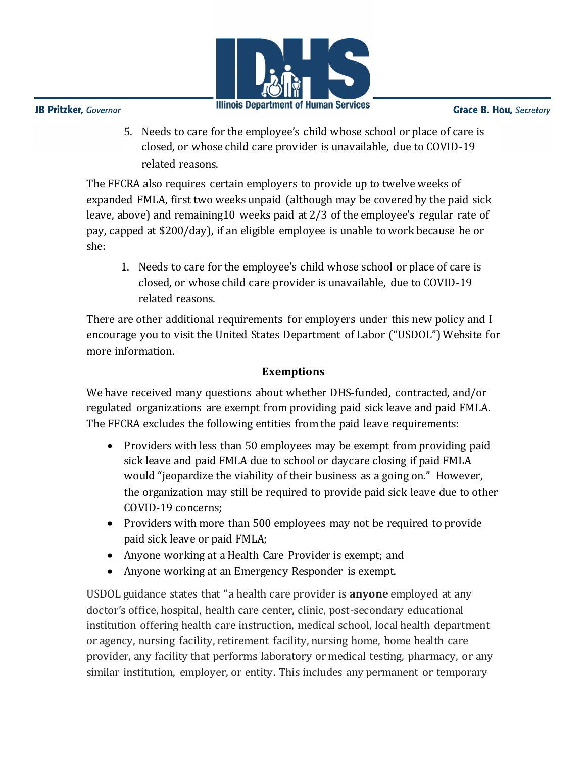

**JB Pritzker**, Governor

**Grace B. Hou, Secretary** 

5. Needs to care for the employee's child whose school or place of care is closed, or whose child care provider is unavailable, due to COVID-19 related reasons.

The FFCRA also requires certain employers to provide up to twelve weeks of expanded FMLA, first two weeks unpaid (although may be covered by the paid sick leave, above) and remaining10 weeks paid at 2/3 of the employee's regular rate of pay, capped at \$200/day), if an eligible employee is unable to work because he or she:

1. Needs to care for the employee's child whose school or place of care is closed, or whose child care provider is unavailable, due to COVID-19 related reasons.

There are other additional requirements for employers under this new policy and I encourage you to visit the United States Department of Labor ("USDOL") Website for more information.

## **Exemptions**

We have received many questions about whether DHS-funded, contracted, and/or regulated organizations are exempt from providing paid sick leave and paid FMLA. The FFCRA excludes the following entities from the paid leave requirements:

- Providers with less than 50 employees may be exempt from providing paid sick leave and paid FMLA due to school or daycare closing if paid FMLA would "jeopardize the viability of their business as a going on." However, the organization may still be required to provide paid sick leave due to other COVID-19 concerns;
- Providers with more than 500 employees may not be required to provide paid sick leave or paid FMLA;
- Anyone working at a Health Care Provider is exempt; and
- Anyone working at an Emergency Responder is exempt.

USDOL guidance states that "a health care provider is **anyone** employed at any doctor's office, hospital, health care center, clinic, post-secondary educational institution offering health care instruction, medical school, local health department or agency, nursing facility, retirement facility, nursing home, home health care provider, any facility that performs laboratory or medical testing, pharmacy, or any similar institution, employer, or entity. This includes any permanent or temporary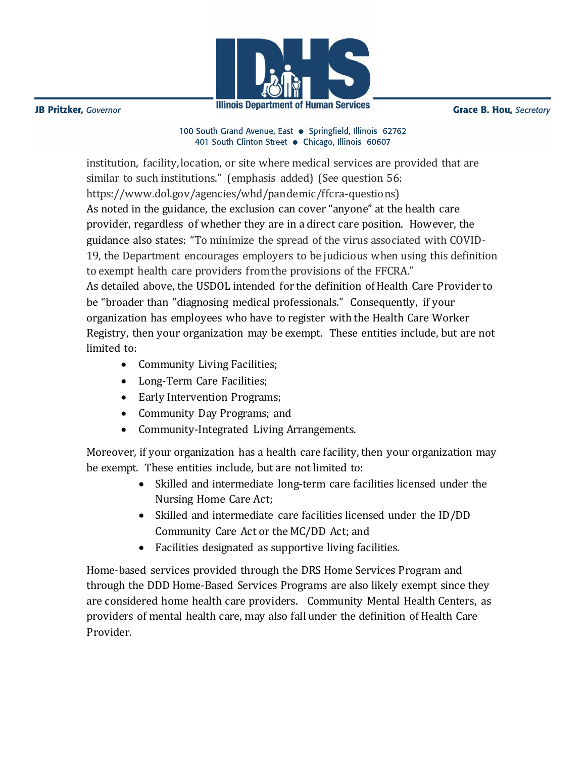

**JB Pritzker**, Governor

**Grace B. Hou, Secretary** 

100 South Grand Avenue, East . Springfield, Illinois 62762 401 South Clinton Street · Chicago, Illinois 60607

institution, facility, location, or site where medical services are provided that are similar to such institutions." (emphasis added) (See question 56: https://www.dol.gov/agencies/whd/pandemic/ffcra-questions) As noted in the guidance, the exclusion can cover "anyone" at the health care provider, regardless of whether they are in a direct care position. However, the guidance also states: "To minimize the spread of the virus associated with COVID-19, the Department encourages employers to be judicious when using this definition to exempt health care providers from the provisions of the FFCRA." As detailed above, the USDOL intended for the definition of Health Care Provider to be "broader than "diagnosing medical professionals." Consequently, if your organization has employees who have to register with the Health Care Worker Registry, then your organization may be exempt. These entities include, but are not limited to:

- Community Living Facilities;
- Long-Term Care Facilities;
- Early Intervention Programs;
- Community Day Programs; and
- Community-Integrated Living Arrangements.

Moreover, if your organization has a health care facility, then your organization may be exempt. These entities include, but are not limited to:

- Skilled and intermediate long-term care facilities licensed under the Nursing Home Care Act;
- Skilled and intermediate care facilities licensed under the ID/DD Community Care Act or the MC/DD Act; and
- Facilities designated as supportive living facilities.

Home-based services provided through the DRS Home Services Program and through the DDD Home-Based Services Programs are also likely exempt since they are considered home health care providers. Community Mental Health Centers, as providers of mental health care, may also fall under the definition of Health Care Provider.